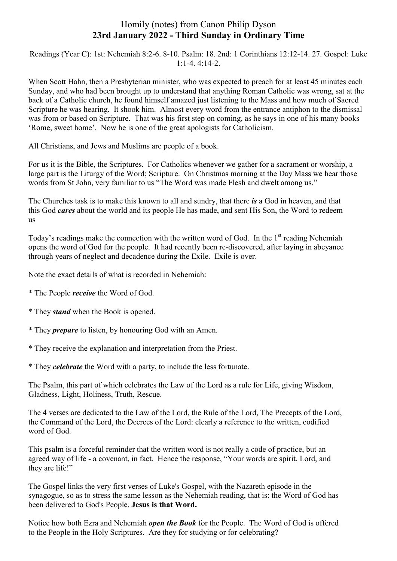## Homily (notes) from Canon Philip Dyson **23rd January 2022 - Third Sunday in Ordinary Time**

Readings (Year C): 1st: Nehemiah 8:2-6. 8-10. Psalm: 18. 2nd: 1 Corinthians 12:12-14. 27. Gospel: Luke 1:1-4. 4:14-2.

When Scott Hahn, then a Presbyterian minister, who was expected to preach for at least 45 minutes each Sunday, and who had been brought up to understand that anything Roman Catholic was wrong, sat at the back of a Catholic church, he found himself amazed just listening to the Mass and how much of Sacred Scripture he was hearing. It shook him. Almost every word from the entrance antiphon to the dismissal was from or based on Scripture. That was his first step on coming, as he says in one of his many books 'Rome, sweet home'. Now he is one of the great apologists for Catholicism.

All Christians, and Jews and Muslims are people of a book.

For us it is the Bible, the Scriptures. For Catholics whenever we gather for a sacrament or worship, a large part is the Liturgy of the Word; Scripture. On Christmas morning at the Day Mass we hear those words from St John, very familiar to us "The Word was made Flesh and dwelt among us."

The Churches task is to make this known to all and sundry, that there *is* a God in heaven, and that this God *cares* about the world and its people He has made, and sent His Son, the Word to redeem us

Today's readings make the connection with the written word of God. In the  $1<sup>st</sup>$  reading Nehemiah opens the word of God for the people. It had recently been re-discovered, after laying in abeyance through years of neglect and decadence during the Exile. Exile is over.

Note the exact details of what is recorded in Nehemiah:

- \* The People *receive* the Word of God.
- \* They *stand* when the Book is opened.
- \* They *prepare* to listen, by honouring God with an Amen.
- \* They receive the explanation and interpretation from the Priest.
- \* They *celebrate* the Word with a party, to include the less fortunate.

The Psalm, this part of which celebrates the Law of the Lord as a rule for Life, giving Wisdom, Gladness, Light, Holiness, Truth, Rescue.

The 4 verses are dedicated to the Law of the Lord, the Rule of the Lord, The Precepts of the Lord, the Command of the Lord, the Decrees of the Lord: clearly a reference to the written, codified word of God.

This psalm is a forceful reminder that the written word is not really a code of practice, but an agreed way of life - a covenant, in fact. Hence the response, "Your words are spirit, Lord, and they are life!"

The Gospel links the very first verses of Luke's Gospel, with the Nazareth episode in the synagogue, so as to stress the same lesson as the Nehemiah reading, that is: the Word of God has been delivered to God's People. **Jesus is that Word.**

Notice how both Ezra and Nehemiah *open the Book* for the People. The Word of God is offered to the People in the Holy Scriptures. Are they for studying or for celebrating?